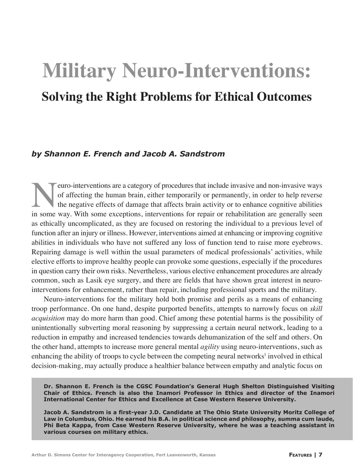# **Military Neuro-Interventions: Solving the Right Problems for Ethical Outcomes**

## *by Shannon E. French and Jacob A. Sandstrom*

France interventions are a category of procedures that include invasive and non-invasive ways<br>of affecting the human brain, either temporarily or permanently, in order to help reverse<br>the negative effects of damage that af of affecting the human brain, either temporarily or permanently, in order to help reverse the negative effects of damage that affects brain activity or to enhance cognitive abilities in some way. With some exceptions, interventions for repair or rehabilitation are generally seen as ethically uncomplicated, as they are focused on restoring the individual to a previous level of function after an injury or illness. However, interventions aimed at enhancing or improving cognitive abilities in individuals who have not suffered any loss of function tend to raise more eyebrows. Repairing damage is well within the usual parameters of medical professionals' activities, while elective efforts to improve healthy people can provoke some questions, especially if the procedures in question carry their own risks. Nevertheless, various elective enhancement procedures are already common, such as Lasik eye surgery, and there are fields that have shown great interest in neurointerventions for enhancement, rather than repair, including professional sports and the military.

Neuro-interventions for the military hold both promise and perils as a means of enhancing troop performance. On one hand, despite purported benefits, attempts to narrowly focus on *skill acquisition* may do more harm than good. Chief among these potential harms is the possibility of unintentionally subverting moral reasoning by suppressing a certain neural network, leading to a reduction in empathy and increased tendencies towards dehumanization of the self and others. On the other hand, attempts to increase more general mental *agility* using neuro-interventions, such as enhancing the ability of troops to cycle between the competing neural networks<sup>1</sup> involved in ethical decision-making, may actually produce a healthier balance between empathy and analytic focus on

**Dr. Shannon E. French is the CGSC Foundation's General Hugh Shelton Distinguished Visiting Chair of Ethics. French is also the Inamori Professor in Ethics and director of the Inamori International Center for Ethics and Excellence at Case Western Reserve University.**

**Jacob A. Sandstrom is a first-year J.D. Candidate at The Ohio State University Moritz College of Law in Columbus, Ohio. He earned his B.A. in political science and philosophy, summa cum laude, Phi Beta Kappa, from Case Western Reserve University, where he was a teaching assistant in various courses on military ethics.**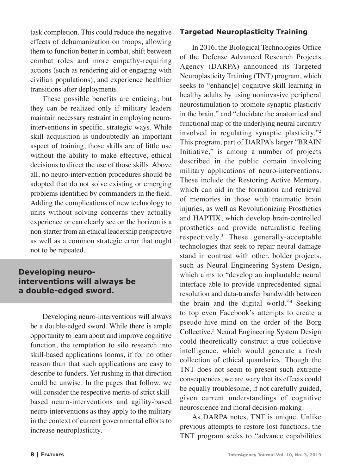task completion. This could reduce the negative effects of dehumanization on troops, allowing them to function better in combat, shift between combat roles and more empathy-requiring actions (such as rendering aid or engaging with civilian populations), and experience healthier transitions after deployments.

These possible benefits are enticing, but they can be realized only if military leaders maintain necessary restraint in employing neurointerventions in specific, strategic ways. While skill acquisition is undoubtedly an important aspect of training, those skills are of little use without the ability to make effective, ethical decisions to direct the use of those skills. Above all, no neuro-intervention procedures should be adopted that do not solve existing or emerging problems identified by commanders in the field. Adding the complications of new technology to units without solving concerns they actually experience or can clearly see on the horizon is a non-starter from an ethical leadership perspective as well as a common strategic error that ought not to be repeated.

# **Developing neurointerventions will always be a double-edged sword.**

Developing neuro-interventions will always be a double-edged sword. While there is ample opportunity to learn about and improve cognitive function, the temptation to silo research into skill-based applications looms, if for no other reason than that such applications are easy to describe to funders. Yet rushing in that direction could be unwise. In the pages that follow, we will consider the respective merits of strict skillbased neuro-interventions and agility-based neuro-interventions as they apply to the military in the context of current governmental efforts to increase neuroplasticity.

## **Targeted Neuroplasticity Training**

In 2016, the Biological Technologies Office of the Defense Advanced Research Projects Agency (DARPA) announced its Targeted Neuroplasticity Training (TNT) program, which seeks to "enhanc[e] cognitive skill learning in healthy adults by using noninvasive peripheral neurostimulation to promote synaptic plasticity in the brain," and "elucidate the anatomical and functional map of the underlying neural circuitry involved in regulating synaptic plasticity."2 This program, part of DARPA's larger "BRAIN Initiative," is among a number of projects described in the public domain involving military applications of neuro-interventions. These include the Restoring Active Memory, which can aid in the formation and retrieval of memories in those with traumatic brain injuries, as well as Revolutionizing Prosthetics and HAPTIX, which develop brain-controlled prosthetics and provide naturalistic feeling respectively.3 These generally-acceptable technologies that seek to repair neural damage stand in contrast with other, bolder projects, such as Neural Engineering System Design, which aims to "develop an implantable neural interface able to provide unprecedented signal resolution and data-transfer bandwidth between the brain and the digital world."4 Seeking to top even Facebook's attempts to create a pseudo-hive mind on the order of the Borg Collective,<sup>5</sup> Neural Engineering System Design could theoretically construct a true collective intelligence, which would generate a fresh collection of ethical quandaries. Though the TNT does not seem to present such extreme consequences, we are wary that its effects could be equally troublesome, if not carefully guided, given current understandings of cognitive neuroscience and moral decision-making.

As DARPA notes, TNT is unique. Unlike previous attempts to restore lost functions, the TNT program seeks to "advance capabilities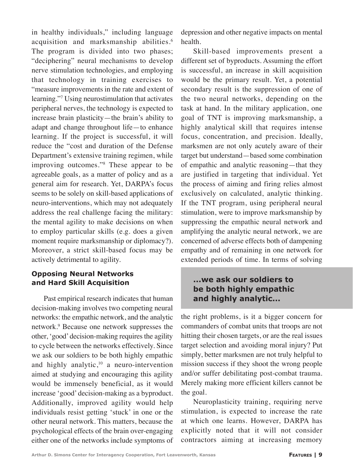in healthy individuals," including language acquisition and marksmanship abilities.<sup>6</sup> The program is divided into two phases; "deciphering" neural mechanisms to develop nerve stimulation technologies, and employing that technology in training exercises to "measure improvements in the rate and extent of learning."7 Using neurostimulation that activates peripheral nerves, the technology is expected to increase brain plasticity—the brain's ability to adapt and change throughout life—to enhance learning. If the project is successful, it will reduce the "cost and duration of the Defense Department's extensive training regimen, while improving outcomes."8 These appear to be agreeable goals, as a matter of policy and as a general aim for research. Yet, DARPA's focus seems to be solely on skill-based applications of neuro-interventions, which may not adequately address the real challenge facing the military: the mental agility to make decisions on when to employ particular skills (e.g. does a given moment require marksmanship or diplomacy?). Moreover, a strict skill-based focus may be actively detrimental to agility.

## **Opposing Neural Networks and Hard Skill Acquisition**

Past empirical research indicates that human decision-making involves two competing neural networks: the empathic network, and the analytic network.9 Because one network suppresses the other, 'good' decision-making requires the agility to cycle between the networks effectively. Since we ask our soldiers to be both highly empathic and highly analytic, $10$  a neuro-intervention aimed at studying and encouraging this agility would be immensely beneficial, as it would increase 'good' decision-making as a byproduct. Additionally, improved agility would help individuals resist getting 'stuck' in one or the other neural network. This matters, because the psychological effects of the brain over-engaging either one of the networks include symptoms of

depression and other negative impacts on mental health.

Skill-based improvements present a different set of byproducts. Assuming the effort is successful, an increase in skill acquisition would be the primary result. Yet, a potential secondary result is the suppression of one of the two neural networks, depending on the task at hand. In the military application, one goal of TNT is improving marksmanship, a highly analytical skill that requires intense focus, concentration, and precision. Ideally, marksmen are not only acutely aware of their target but understand—based some combination of empathic and analytic reasoning—that they are justified in targeting that individual. Yet the process of aiming and firing relies almost exclusively on calculated, analytic thinking. If the TNT program, using peripheral neural stimulation, were to improve marksmanship by suppressing the empathic neural network and amplifying the analytic neural network, we are concerned of adverse effects both of dampening empathy and of remaining in one network for extended periods of time. In terms of solving

# **...we ask our soldiers to be both highly empathic and highly analytic...**

the right problems, is it a bigger concern for commanders of combat units that troops are not hitting their chosen targets, or are the real issues target selection and avoiding moral injury? Put simply, better marksmen are not truly helpful to mission success if they shoot the wrong people and/or suffer debilitating post-combat trauma. Merely making more efficient killers cannot be the goal.

Neuroplasticity training, requiring nerve stimulation, is expected to increase the rate at which one learns. However, DARPA has explicitly noted that it will not consider contractors aiming at increasing memory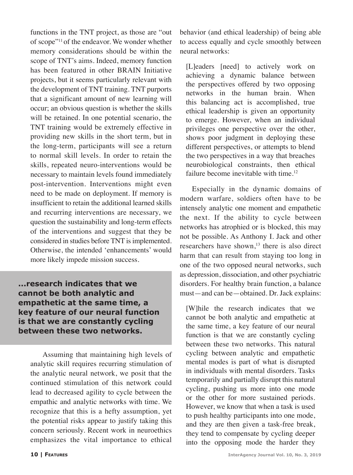functions in the TNT project, as those are "out of scope"11 of the endeavor. We wonder whether memory considerations should be within the scope of TNT's aims. Indeed, memory function has been featured in other BRAIN Initiative projects, but it seems particularly relevant with the development of TNT training. TNT purports that a significant amount of new learning will occur; an obvious question is whether the skills will be retained. In one potential scenario, the TNT training would be extremely effective in providing new skills in the short term, but in the long-term, participants will see a return to normal skill levels. In order to retain the skills, repeated neuro-interventions would be necessary to maintain levels found immediately post-intervention. Interventions might even need to be made on deployment. If memory is insufficient to retain the additional learned skills and recurring interventions are necessary, we question the sustainability and long-term effects of the interventions and suggest that they be considered in studies before TNT is implemented. Otherwise, the intended 'enhancements' would more likely impede mission success.

**...research indicates that we cannot be both analytic and empathetic at the same time, a key feature of our neural function is that we are constantly cycling between these two networks.**

Assuming that maintaining high levels of analytic skill requires recurring stimulation of the analytic neural network, we posit that the continued stimulation of this network could lead to decreased agility to cycle between the empathic and analytic networks with time. We recognize that this is a hefty assumption, yet the potential risks appear to justify taking this concern seriously. Recent work in neuroethics emphasizes the vital importance to ethical behavior (and ethical leadership) of being able to access equally and cycle smoothly between neural networks:

[L]eaders [need] to actively work on achieving a dynamic balance between the perspectives offered by two opposing networks in the human brain. When this balancing act is accomplished, true ethical leadership is given an opportunity to emerge. However, when an individual privileges one perspective over the other, shows poor judgment in deploying these different perspectives, or attempts to blend the two perspectives in a way that breaches neurobiological constraints, then ethical failure become inevitable with time.<sup>12</sup>

Especially in the dynamic domains of modern warfare, soldiers often have to be intensely analytic one moment and empathetic the next. If the ability to cycle between networks has atrophied or is blocked, this may not be possible. As Anthony I. Jack and other researchers have shown,<sup>13</sup> there is also direct harm that can result from staying too long in one of the two opposed neural networks, such as depression, dissociation, and other psychiatric disorders. For healthy brain function, a balance must—and can be—obtained. Dr. Jack explains:

[W]hile the research indicates that we cannot be both analytic and empathetic at the same time, a key feature of our neural function is that we are constantly cycling between these two networks. This natural cycling between analytic and empathetic mental modes is part of what is disrupted in individuals with mental disorders. Tasks temporarily and partially disrupt this natural cycling, pushing us more into one mode or the other for more sustained periods. However, we know that when a task is used to push healthy participants into one mode, and they are then given a task-free break, they tend to compensate by cycling deeper into the opposing mode the harder they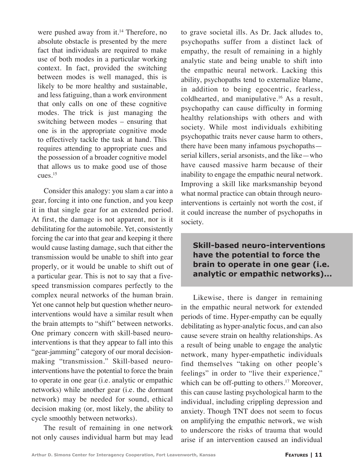were pushed away from it.<sup>14</sup> Therefore, no absolute obstacle is presented by the mere fact that individuals are required to make use of both modes in a particular working context. In fact, provided the switching between modes is well managed, this is likely to be more healthy and sustainable, and less fatiguing, than a work environment that only calls on one of these cognitive modes. The trick is just managing the switching between modes – ensuring that one is in the appropriate cognitive mode to effectively tackle the task at hand. This requires attending to appropriate cues and the possession of a broader cognitive model that allows us to make good use of those cues.15

Consider this analogy: you slam a car into a gear, forcing it into one function, and you keep it in that single gear for an extended period. At first, the damage is not apparent, nor is it debilitating for the automobile. Yet, consistently forcing the car into that gear and keeping it there would cause lasting damage, such that either the transmission would be unable to shift into gear properly, or it would be unable to shift out of a particular gear. This is not to say that a fivespeed transmission compares perfectly to the complex neural networks of the human brain. Yet one cannot help but question whether neurointerventions would have a similar result when the brain attempts to "shift" between networks. One primary concern with skill-based neurointerventions is that they appear to fall into this "gear-jamming" category of our moral decisionmaking "transmission." Skill-based neurointerventions have the potential to force the brain to operate in one gear (i.e. analytic or empathic networks) while another gear (i.e. the dormant network) may be needed for sound, ethical decision making (or, most likely, the ability to cycle smoothly between networks).

The result of remaining in one network not only causes individual harm but may lead to grave societal ills. As Dr. Jack alludes to, psychopaths suffer from a distinct lack of empathy, the result of remaining in a highly analytic state and being unable to shift into the empathic neural network. Lacking this ability, psychopaths tend to externalize blame, in addition to being egocentric, fearless, coldhearted, and manipulative.16 As a result, psychopathy can cause difficulty in forming healthy relationships with others and with society. While most individuals exhibiting psychopathic traits never cause harm to others, there have been many infamous psychopaths serial killers, serial arsonists, and the like—who have caused massive harm because of their inability to engage the empathic neural network. Improving a skill like marksmanship beyond what normal practice can obtain through neurointerventions is certainly not worth the cost, if it could increase the number of psychopaths in society.

# **Skill-based neuro-interventions have the potential to force the brain to operate in one gear (i.e. analytic or empathic networks)...**

Likewise, there is danger in remaining in the empathic neural network for extended periods of time. Hyper-empathy can be equally debilitating as hyper-analytic focus, and can also cause severe strain on healthy relationships. As a result of being unable to engage the analytic network, many hyper-empathetic individuals find themselves "taking on other people's feelings" in order to "live their experience," which can be off-putting to others.<sup>17</sup> Moreover, this can cause lasting psychological harm to the individual, including crippling depression and anxiety. Though TNT does not seem to focus on amplifying the empathic network, we wish to underscore the risks of trauma that would arise if an intervention caused an individual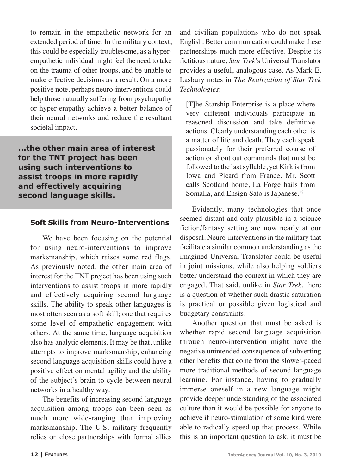to remain in the empathetic network for an extended period of time. In the military context, this could be especially troublesome, as a hyperempathetic individual might feel the need to take on the trauma of other troops, and be unable to make effective decisions as a result. On a more positive note, perhaps neuro-interventions could help those naturally suffering from psychopathy or hyper-empathy achieve a better balance of their neural networks and reduce the resultant societal impact.

**...the other main area of interest for the TNT project has been using such interventions to assist troops in more rapidly and effectively acquiring second language skills.**

#### **Soft Skills from Neuro-Interventions**

We have been focusing on the potential for using neuro-interventions to improve marksmanship, which raises some red flags. As previously noted, the other main area of interest for the TNT project has been using such interventions to assist troops in more rapidly and effectively acquiring second language skills. The ability to speak other languages is most often seen as a soft skill; one that requires some level of empathetic engagement with others. At the same time, language acquisition also has analytic elements. It may be that, unlike attempts to improve marksmanship, enhancing second language acquisition skills could have a positive effect on mental agility and the ability of the subject's brain to cycle between neural networks in a healthy way.

The benefits of increasing second language acquisition among troops can been seen as much more wide-ranging than improving marksmanship. The U.S. military frequently relies on close partnerships with formal allies

and civilian populations who do not speak English. Better communication could make these partnerships much more effective. Despite its fictitious nature, *Star Trek*'s Universal Translator provides a useful, analogous case. As Mark E. Lasbury notes in *The Realization of Star Trek Technologies*:

[T]he Starship Enterprise is a place where very different individuals participate in reasoned discussion and take definitive actions. Clearly understanding each other is a matter of life and death. They each speak passionately for their preferred course of action or shout out commands that must be followed to the last syllable, yet Kirk is from Iowa and Picard from France. Mr. Scott calls Scotland home, La Forge hails from Somalia, and Ensign Sato is Japanese.<sup>18</sup>

Evidently, many technologies that once seemed distant and only plausible in a science fiction/fantasy setting are now nearly at our disposal. Neuro-interventions in the military that facilitate a similar common understanding as the imagined Universal Translator could be useful in joint missions, while also helping soldiers better understand the context in which they are engaged. That said, unlike in *Star Trek*, there is a question of whether such drastic saturation is practical or possible given logistical and budgetary constraints.

Another question that must be asked is whether rapid second language acquisition through neuro-intervention might have the negative unintended consequence of subverting other benefits that come from the slower-paced more traditional methods of second language learning. For instance, having to gradually immerse oneself in a new language might provide deeper understanding of the associated culture than it would be possible for anyone to achieve if neuro-stimulation of some kind were able to radically speed up that process. While this is an important question to ask, it must be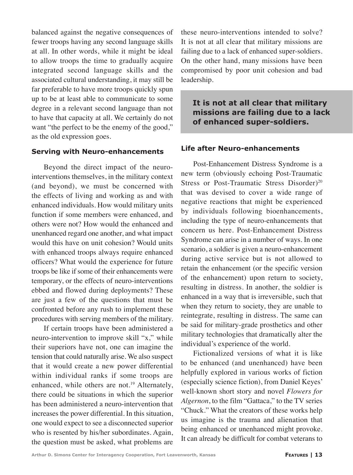balanced against the negative consequences of fewer troops having any second language skills at all. In other words, while it might be ideal to allow troops the time to gradually acquire integrated second language skills and the associated cultural understanding, it may still be far preferable to have more troops quickly spun up to be at least able to communicate to some degree in a relevant second language than not to have that capacity at all. We certainly do not want "the perfect to be the enemy of the good," as the old expression goes.

#### **Serving with Neuro-enhancements**

Beyond the direct impact of the neurointerventions themselves, in the military context (and beyond), we must be concerned with the effects of living and working as and with enhanced individuals. How would military units function if some members were enhanced, and others were not? How would the enhanced and unenhanced regard one another, and what impact would this have on unit cohesion? Would units with enhanced troops always require enhanced officers? What would the experience for future troops be like if some of their enhancements were temporary, or the effects of neuro-interventions ebbed and flowed during deployments? These are just a few of the questions that must be confronted before any rush to implement these procedures with serving members of the military.

If certain troops have been administered a neuro-intervention to improve skill "x," while their superiors have not, one can imagine the tension that could naturally arise. We also suspect that it would create a new power differential within individual ranks if some troops are enhanced, while others are not.<sup>19</sup> Alternately, there could be situations in which the superior has been administered a neuro-intervention that increases the power differential. In this situation, one would expect to see a disconnected superior who is resented by his/her subordinates. Again, the question must be asked, what problems are

these neuro-interventions intended to solve? It is not at all clear that military missions are failing due to a lack of enhanced super-soldiers. On the other hand, many missions have been compromised by poor unit cohesion and bad leadership.

# **It is not at all clear that military missions are failing due to a lack of enhanced super-soldiers.**

## **Life after Neuro-enhancements**

Post-Enhancement Distress Syndrome is a new term (obviously echoing Post-Traumatic Stress or Post-Traumatic Stress Disorder)<sup>20</sup> that was devised to cover a wide range of negative reactions that might be experienced by individuals following bioenhancements, including the type of neuro-enhancements that concern us here. Post-Enhancement Distress Syndrome can arise in a number of ways. In one scenario, a soldier is given a neuro-enhancement during active service but is not allowed to retain the enhancement (or the specific version of the enhancement) upon return to society, resulting in distress. In another, the soldier is enhanced in a way that is irreversible, such that when they return to society, they are unable to reintegrate, resulting in distress. The same can be said for military-grade prosthetics and other military technologies that dramatically alter the individual's experience of the world.

Fictionalized versions of what it is like to be enhanced (and unenhanced) have been helpfully explored in various works of fiction (especially science fiction), from Daniel Keyes' well-known short story and novel *Flowers for Algernon*, to the film "Gattaca," to the TV series "Chuck." What the creators of these works help us imagine is the trauma and alienation that being enhanced or unenhanced might provoke. It can already be difficult for combat veterans to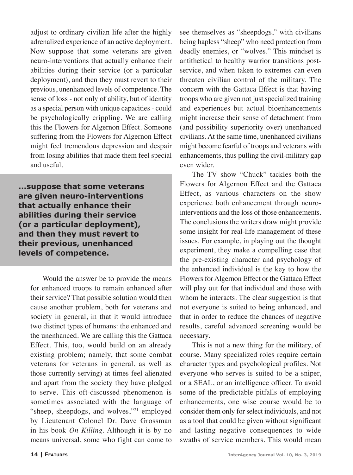adjust to ordinary civilian life after the highly adrenalized experience of an active deployment. Now suppose that some veterans are given neuro-interventions that actually enhance their abilities during their service (or a particular deployment), and then they must revert to their previous, unenhanced levels of competence. The sense of loss - not only of ability, but of identity as a special person with unique capacities - could be psychologically crippling. We are calling this the Flowers for Algernon Effect. Someone suffering from the Flowers for Algernon Effect might feel tremendous depression and despair from losing abilities that made them feel special and useful.

**...suppose that some veterans are given neuro-interventions that actually enhance their abilities during their service (or a particular deployment), and then they must revert to their previous, unenhanced levels of competence.** 

Would the answer be to provide the means for enhanced troops to remain enhanced after their service? That possible solution would then cause another problem, both for veterans and society in general, in that it would introduce two distinct types of humans: the enhanced and the unenhanced. We are calling this the Gattaca Effect. This, too, would build on an already existing problem; namely, that some combat veterans (or veterans in general, as well as those currently serving) at times feel alienated and apart from the society they have pledged to serve. This oft-discussed phenomenon is sometimes associated with the language of "sheep, sheepdogs, and wolves,"<sup>21</sup> employed by Lieutenant Colonel Dr. Dave Grossman in his book *On Killing*. Although it is by no means universal, some who fight can come to

see themselves as "sheepdogs," with civilians being hapless "sheep" who need protection from deadly enemies, or "wolves." This mindset is antithetical to healthy warrior transitions postservice, and when taken to extremes can even threaten civilian control of the military. The concern with the Gattaca Effect is that having troops who are given not just specialized training and experiences but actual bioenhancements might increase their sense of detachment from (and possibility superiority over) unenhanced civilians. At the same time, unenhanced civilians might become fearful of troops and veterans with enhancements, thus pulling the civil-military gap even wider.

The TV show "Chuck" tackles both the Flowers for Algernon Effect and the Gattaca Effect, as various characters on the show experience both enhancement through neurointerventions and the loss of those enhancements. The conclusions the writers draw might provide some insight for real-life management of these issues. For example, in playing out the thought experiment, they make a compelling case that the pre-existing character and psychology of the enhanced individual is the key to how the Flowers for Algernon Effect or the Gattaca Effect will play out for that individual and those with whom he interacts. The clear suggestion is that not everyone is suited to being enhanced, and that in order to reduce the chances of negative results, careful advanced screening would be necessary.

This is not a new thing for the military, of course. Many specialized roles require certain character types and psychological profiles. Not everyone who serves is suited to be a sniper, or a SEAL, or an intelligence officer. To avoid some of the predictable pitfalls of employing enhancements, one wise course would be to consider them only for select individuals, and not as a tool that could be given without significant and lasting negative consequences to wide swaths of service members. This would mean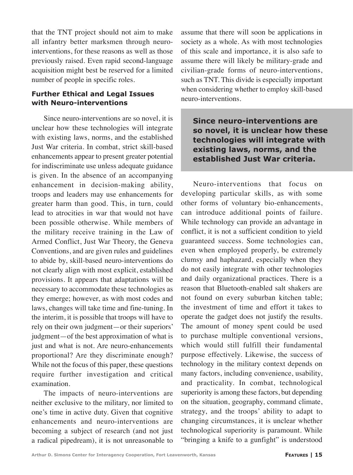that the TNT project should not aim to make all infantry better marksmen through neurointerventions, for these reasons as well as those previously raised. Even rapid second-language acquisition might best be reserved for a limited number of people in specific roles.

## **Further Ethical and Legal Issues with Neuro-interventions**

Since neuro-interventions are so novel, it is unclear how these technologies will integrate with existing laws, norms, and the established Just War criteria. In combat, strict skill-based enhancements appear to present greater potential for indiscriminate use unless adequate guidance is given. In the absence of an accompanying enhancement in decision-making ability, troops and leaders may use enhancements for greater harm than good. This, in turn, could lead to atrocities in war that would not have been possible otherwise. While members of the military receive training in the Law of Armed Conflict, Just War Theory, the Geneva Conventions, and are given rules and guidelines to abide by, skill-based neuro-interventions do not clearly align with most explicit, established provisions. It appears that adaptations will be necessary to accommodate these technologies as they emerge; however, as with most codes and laws, changes will take time and fine-tuning. In the interim, it is possible that troops will have to rely on their own judgment—or their superiors' judgment—of the best approximation of what is just and what is not. Are neuro-enhancements proportional? Are they discriminate enough? While not the focus of this paper, these questions require further investigation and critical examination.

The impacts of neuro-interventions are neither exclusive to the military, nor limited to one's time in active duty. Given that cognitive enhancements and neuro-interventions are becoming a subject of research (and not just a radical pipedream), it is not unreasonable to

assume that there will soon be applications in society as a whole. As with most technologies of this scale and importance, it is also safe to assume there will likely be military-grade and civilian-grade forms of neuro-interventions, such as TNT. This divide is especially important when considering whether to employ skill-based neuro-interventions.

**Since neuro-interventions are so novel, it is unclear how these technologies will integrate with existing laws, norms, and the established Just War criteria.**

Neuro-interventions that focus on developing particular skills, as with some other forms of voluntary bio-enhancements, can introduce additional points of failure. While technology can provide an advantage in conflict, it is not a sufficient condition to yield guaranteed success. Some technologies can, even when employed properly, be extremely clumsy and haphazard, especially when they do not easily integrate with other technologies and daily organizational practices. There is a reason that Bluetooth-enabled salt shakers are not found on every suburban kitchen table; the investment of time and effort it takes to operate the gadget does not justify the results. The amount of money spent could be used to purchase multiple conventional versions, which would still fulfill their fundamental purpose effectively. Likewise, the success of technology in the military context depends on many factors, including convenience, usability, and practicality. In combat, technological superiority is among these factors, but depending on the situation, geography, command climate, strategy, and the troops' ability to adapt to changing circumstances, it is unclear whether technological superiority is paramount. While "bringing a knife to a gunfight" is understood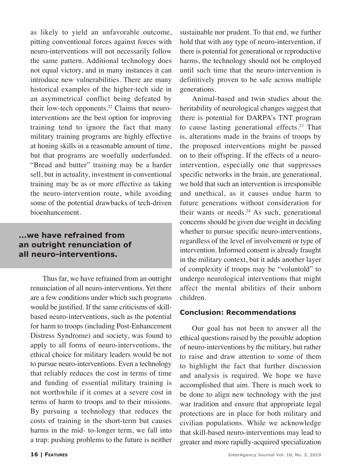as likely to yield an unfavorable outcome, pitting conventional forces against forces with neuro-interventions will not necessarily follow the same pattern. Additional technology does not equal victory, and in many instances it can introduce new vulnerabilities. There are many historical examples of the higher-tech side in an asymmetrical conflict being defeated by their low-tech opponents.<sup>22</sup> Claims that neurointerventions are the best option for improving training tend to ignore the fact that many military training programs are highly effective at honing skills in a reasonable amount of time, but that programs are woefully underfunded. "Bread and butter" training may be a harder sell, but in actuality, investment in conventional training may be as or more effective as taking the neuro-intervention route, while avoiding some of the potential drawbacks of tech-driven bioenhancement.

# **...we have refrained from an outright renunciation of all neuro-interventions.**

Thus far, we have refrained from an outright renunciation of all neuro-interventions. Yet there are a few conditions under which such programs would be justified. If the same criticisms of skillbased neuro-interventions, such as the potential for harm to troops (including Post-Enhancement Distress Syndrome) and society, was found to apply to all forms of neuro-interventions, the ethical choice for military leaders would be not to pursue neuro-interventions. Even a technology that reliably reduces the cost in terms of time and funding of essential military training is not worthwhile if it comes at a severe cost in terms of harm to troops and to their missions. By pursuing a technology that reduces the costs of training in the short-term but causes harms in the mid- to-longer term, we fall into a trap: pushing problems to the future is neither

sustainable nor prudent. To that end, we further hold that with any type of neuro-intervention, if there is potential for generational or reproductive harms, the technology should not be employed until such time that the neuro-intervention is definitively proven to be safe across multiple generations.

Animal-based and twin studies about the heritability of neurological changes suggest that there is potential for DARPA's TNT program to cause lasting generational effects.<sup>23</sup> That is, alterations made in the brains of troops by the proposed interventions might be passed on to their offspring. If the effects of a neurointervention, especially one that suppresses specific networks in the brain, are generational, we hold that such an intervention is irresponsible and unethical, as it causes undue harm to future generations without consideration for their wants or needs. $24$  As such, generational concerns should be given due weight in deciding whether to pursue specific neuro-interventions, regardless of the level of involvement or type of intervention. Informed consent is already fraught in the military context, but it adds another layer of complexity if troops may be "voluntold" to undergo neurological interventions that might affect the mental abilities of their unborn children.

#### **Conclusion: Recommendations**

Our goal has not been to answer all the ethical questions raised by the possible adoption of neuro-interventions by the military, but rather to raise and draw attention to some of them to highlight the fact that further discussion and analysis is required. We hope we have accomplished that aim. There is much work to be done to align new technology with the just war tradition and ensure that appropriate legal protections are in place for both military and civilian populations. While we acknowledge that skill-based neuro-interventions may lead to greater and more rapidly-acquired specialization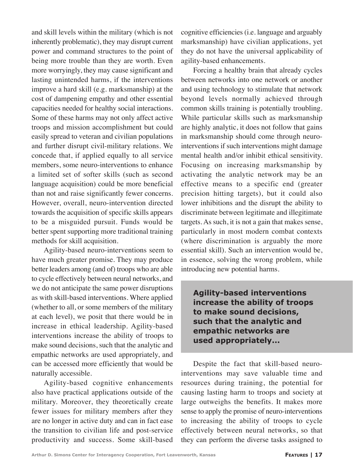and skill levels within the military (which is not inherently problematic), they may disrupt current power and command structures to the point of being more trouble than they are worth. Even more worryingly, they may cause significant and lasting unintended harms, if the interventions improve a hard skill (e.g. marksmanship) at the cost of dampening empathy and other essential capacities needed for healthy social interactions. Some of these harms may not only affect active troops and mission accomplishment but could easily spread to veteran and civilian populations and further disrupt civil-military relations. We concede that, if applied equally to all service members, some neuro-interventions to enhance a limited set of softer skills (such as second language acquisition) could be more beneficial than not and raise significantly fewer concerns. However, overall, neuro-intervention directed towards the acquisition of specific skills appears to be a misguided pursuit. Funds would be better spent supporting more traditional training methods for skill acquisition.

Agility-based neuro-interventions seem to have much greater promise. They may produce better leaders among (and of) troops who are able to cycle effectively between neural networks, and we do not anticipate the same power disruptions as with skill-based interventions. Where applied (whether to all, or some members of the military at each level), we posit that there would be in increase in ethical leadership. Agility-based interventions increase the ability of troops to make sound decisions, such that the analytic and empathic networks are used appropriately, and can be accessed more efficiently that would be naturally accessible.

Agility-based cognitive enhancements also have practical applications outside of the military. Moreover, they theoretically create fewer issues for military members after they are no longer in active duty and can in fact ease the transition to civilian life and post-service productivity and success. Some skill-based cognitive efficiencies (i.e. language and arguably marksmanship) have civilian applications, yet they do not have the universal applicability of agility-based enhancements.

Forcing a healthy brain that already cycles between networks into one network or another and using technology to stimulate that network beyond levels normally achieved through common skills training is potentially troubling. While particular skills such as marksmanship are highly analytic, it does not follow that gains in marksmanship should come through neurointerventions if such interventions might damage mental health and/or inhibit ethical sensitivity. Focusing on increasing marksmanship by activating the analytic network may be an effective means to a specific end (greater precision hitting targets), but it could also lower inhibitions and the disrupt the ability to discriminate between legitimate and illegitimate targets. As such, it is not a gain that makes sense, particularly in most modern combat contexts (where discrimination is arguably the more essential skill). Such an intervention would be, in essence, solving the wrong problem, while introducing new potential harms.

**Agility-based interventions increase the ability of troops to make sound decisions, such that the analytic and empathic networks are used appropriately...**

Despite the fact that skill-based neurointerventions may save valuable time and resources during training, the potential for causing lasting harm to troops and society at large outweighs the benefits. It makes more sense to apply the promise of neuro-interventions to increasing the ability of troops to cycle effectively between neural networks, so that they can perform the diverse tasks assigned to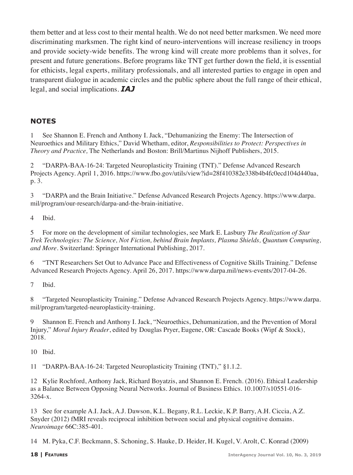them better and at less cost to their mental health. We do not need better marksmen. We need more discriminating marksmen. The right kind of neuro-interventions will increase resiliency in troops and provide society-wide benefits. The wrong kind will create more problems than it solves, for present and future generations. Before programs like TNT get further down the field, it is essential for ethicists, legal experts, military professionals, and all interested parties to engage in open and transparent dialogue in academic circles and the public sphere about the full range of their ethical, legal, and social implications. *IAJ*

## **NOTES**

1 See Shannon E. French and Anthony I. Jack, "Dehumanizing the Enemy: The Intersection of Neuroethics and Military Ethics," David Whetham, editor, *Responsibilities to Protect: Perspectives in Theory and Practice,* The Netherlands and Boston: Brill/Martinus Nijhoff Publishers, 2015.

2 "DARPA-BAA-16-24: Targeted Neuroplasticity Training (TNT)." Defense Advanced Research Projects Agency. April 1, 2016. https://www.fbo.gov/utils/view?id=28f410382e338b4b4fc0ecd104d440aa, p. 3.

3 "DARPA and the Brain Initiative." Defense Advanced Research Projects Agency. https://www.darpa. mil/program/our-research/darpa-and-the-brain-initiative.

4 Ibid.

5 For more on the development of similar technologies, see Mark E. Lasbury *The Realization of Star Trek Technologies: The Science, Not Fiction, behind Brain Implants, Plasma Shields, Quantum Computing, and More*. Switzerland: Springer International Publishing, 2017.

6 "TNT Researchers Set Out to Advance Pace and Effectiveness of Cognitive Skills Training." Defense Advanced Research Projects Agency. April 26, 2017. https://www.darpa.mil/news-events/2017-04-26.

7 Ibid.

8 "Targeted Neuroplasticity Training." Defense Advanced Research Projects Agency. https://www.darpa. mil/program/targeted-neuroplasticity-training.

9 Shannon E. French and Anthony I. Jack, "Neuroethics, Dehumanization, and the Prevention of Moral Injury," *Moral Injury Reader*, edited by Douglas Pryer, Eugene, OR: Cascade Books (Wipf & Stock), 2018.

10 Ibid.

11 "DARPA-BAA-16-24: Targeted Neuroplasticity Training (TNT)," §1.1.2.

12 Kylie Rochford, Anthony Jack, Richard Boyatzis, and Shannon E. French. (2016). Ethical Leadership as a Balance Between Opposing Neural Networks. Journal of Business Ethics. 10.1007/s10551-016- 3264-x.

13 See for example A.I. Jack, A.J. Dawson, K.L. Begany, R.L. Leckie, K.P. Barry, A.H. Ciccia, A.Z. Snyder (2012) fMRI reveals reciprocal inhibition between social and physical cognitive domains. *Neuroimage* 66C:385-401.

14 M. Pyka, C.F. Beckmann, S. Schoning, S. Hauke, D. Heider, H. Kugel, V. Arolt, C. Konrad (2009)